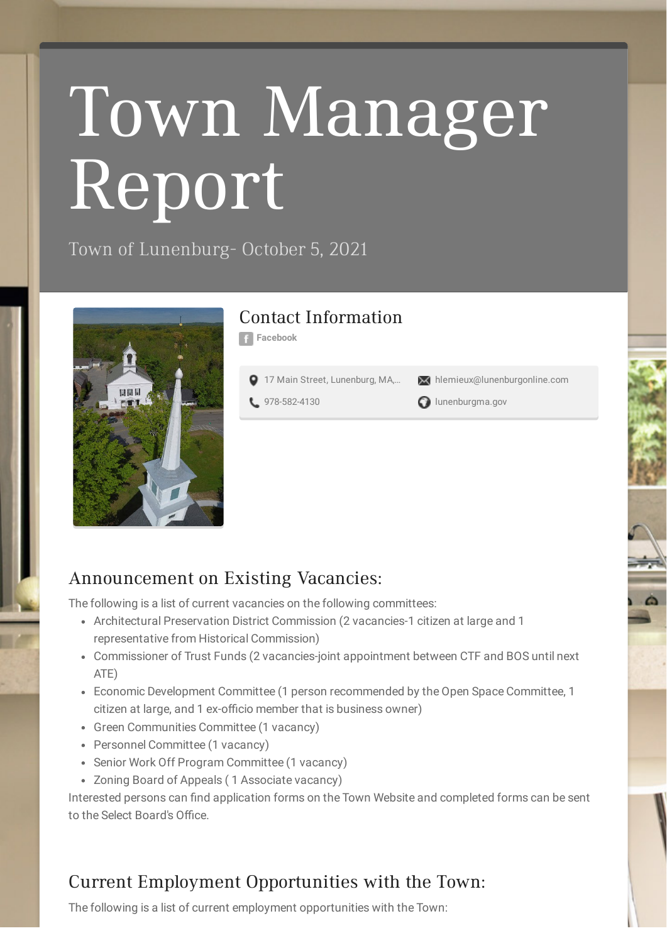# Town Manager Report

Town of Lunenburg- October 5, 2021



### Contact Information

**[Facebook](http://facebook.com/lunenburgmass)**

17 Main Street, [Lunenburg,](http://maps.google.com/maps?daddr=17%20Main%20Street%2C%20Lunenburg%2C%20MA%2C%20USA&hl=en) MA,... X [hlemieux@lunenburgonline.com](mailto:hlemieux@lunenburgonline.com)

**1** [978-582-4130](tel:978-582-4130) **a** [lunenburgma.gov](http://www.lunenburgma.gov/)

#### Announcement on Existing Vacancies:

The following is a list of current vacancies on the following committees:

- Architectural Preservation District Commission (2 vacancies-1 citizen at large and 1 representative from Historical Commission)
- Commissioner of Trust Funds (2 vacancies-joint appointment between CTF and BOS until next ATE)
- Economic Development Committee (1 person recommended by the Open Space Committee, 1 citizen at large, and 1 ex-officio member that is business owner)
- Green Communities Committee (1 vacancy)
- Personnel Committee (1 vacancy)
- Senior Work Off Program Committee (1 vacancy)
- Zoning Board of Appeals ( 1 Associate vacancy)

Interested persons can find application forms on the Town Website and completed forms can be sent to the Select Board's Office.

# Current Employment Opportunities with the Town:

The following is a list of current employment opportunities with the Town: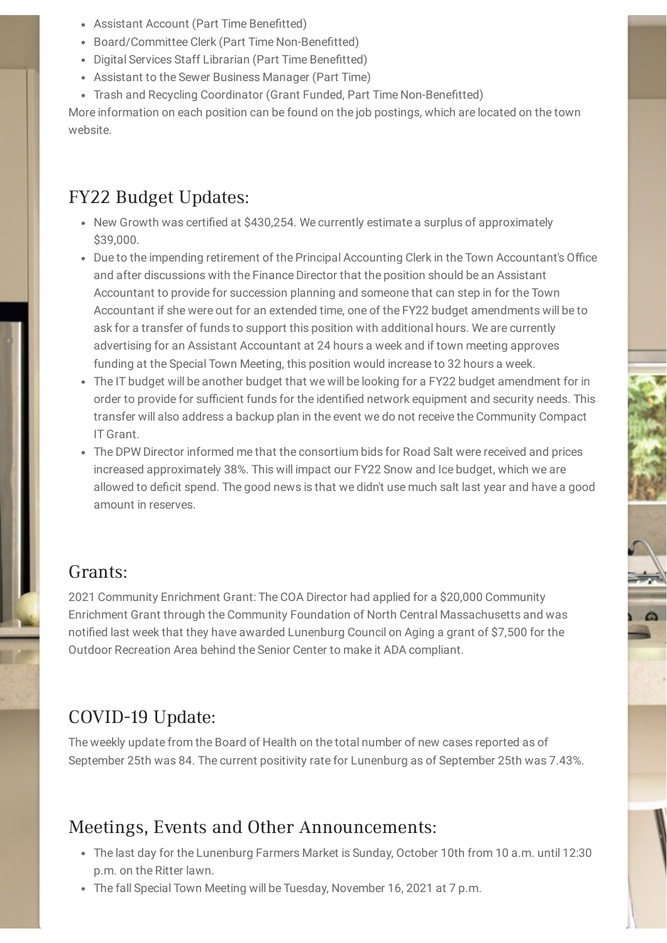- Assistant Account (Part Time Benefitted)
- Board/Committee Clerk (Part Time Non-Benefitted)
- Digital Services Staff Librarian (Part Time Benefitted)
- Assistant to the Sewer Business Manager (Part Time)
- Trash and Recycling Coordinator (Grant Funded, Part Time Non-Benefitted)

More information on each position can be found on the job postings, which are located on the town website.

# FY22 Budget Updates:

- New Growth was certified at \$430,254. We currently estimate a surplus of approximately \$39,000.
- Due to the impending retirement of the Principal Accounting Clerk in the Town Accountant's Office and after discussions with the Finance Director that the position should be an Assistant Accountant to provide for succession planning and someone that can step in for the Town Accountant if she were out for an extended time, one of the FY22 budget amendments will be to ask for a transfer of funds to support this position with additional hours. We are currently advertising for an Assistant Accountant at 24 hours a week and if town meeting approves funding at the Special Town Meeting, this position would increase to 32 hours a week.
- The IT budget will be another budget that we will be looking for a FY22 budget amendment for in order to provide for sufficient funds for the identified network equipment and security needs. This transfer will also address a backup plan in the event we do not receive the Community Compact IT Grant.
- The DPW Director informed me that the consortium bids for Road Salt were received and prices increased approximately 38%. This will impact our FY22 Snow and Ice budget, which we are allowed to deficit spend. The good news is that we didn't use much salt last year and have a good amount in reserves.

#### Grants:

2021 Community Enrichment Grant: The COA Director had applied for a \$20,000 Community Enrichment Grant through the Community Foundation of North Central Massachusetts and was notified last week that they have awarded Lunenburg Council on Aging a grant of \$7,500 for the Outdoor Recreation Area behind the Senior Center to make it ADA compliant.

# COVID-19 Update:

The weekly update from the Board of Health on the total number of new cases reported as of September 25th was 84. The current positivity rate for Lunenburg as of September 25th was 7.43%.

#### Meetings, Events and Other Announcements:

- The last day for the Lunenburg Farmers Market is Sunday, October 10th from 10 a.m. until 12:30 p.m. on the Ritter lawn.
- The fall Special Town Meeting will be Tuesday, November 16, 2021 at 7 p.m.